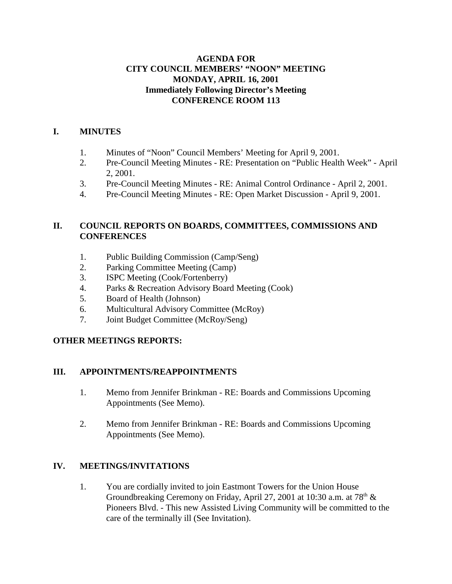#### **AGENDA FOR CITY COUNCIL MEMBERS' "NOON" MEETING MONDAY, APRIL 16, 2001 Immediately Following Director's Meeting CONFERENCE ROOM 113**

#### **I. MINUTES**

- 1. Minutes of "Noon" Council Members' Meeting for April 9, 2001.
- 2. Pre-Council Meeting Minutes RE: Presentation on "Public Health Week" April 2, 2001.
- 3. Pre-Council Meeting Minutes RE: Animal Control Ordinance April 2, 2001.
- 4. Pre-Council Meeting Minutes RE: Open Market Discussion April 9, 2001.

## **II. COUNCIL REPORTS ON BOARDS, COMMITTEES, COMMISSIONS AND CONFERENCES**

- 1. Public Building Commission (Camp/Seng)
- 2. Parking Committee Meeting (Camp)
- 3. ISPC Meeting (Cook/Fortenberry)
- 4. Parks & Recreation Advisory Board Meeting (Cook)
- 5. Board of Health (Johnson)
- 6. Multicultural Advisory Committee (McRoy)
- 7. Joint Budget Committee (McRoy/Seng)

# **OTHER MEETINGS REPORTS:**

# **III. APPOINTMENTS/REAPPOINTMENTS**

- 1. Memo from Jennifer Brinkman RE: Boards and Commissions Upcoming Appointments (See Memo).
- 2. Memo from Jennifer Brinkman RE: Boards and Commissions Upcoming Appointments (See Memo).

# **IV. MEETINGS/INVITATIONS**

1. You are cordially invited to join Eastmont Towers for the Union House Groundbreaking Ceremony on Friday, April 27, 2001 at 10:30 a.m. at  $78<sup>th</sup>$  & Pioneers Blvd. - This new Assisted Living Community will be committed to the care of the terminally ill (See Invitation).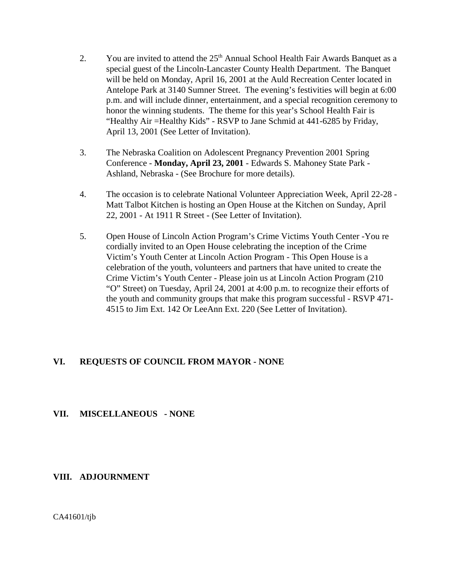- 2. You are invited to attend the  $25<sup>th</sup>$  Annual School Health Fair Awards Banquet as a special guest of the Lincoln-Lancaster County Health Department. The Banquet will be held on Monday, April 16, 2001 at the Auld Recreation Center located in Antelope Park at 3140 Sumner Street. The evening's festivities will begin at 6:00 p.m. and will include dinner, entertainment, and a special recognition ceremony to honor the winning students. The theme for this year's School Health Fair is "Healthy Air =Healthy Kids" - RSVP to Jane Schmid at 441-6285 by Friday, April 13, 2001 (See Letter of Invitation).
- 3. The Nebraska Coalition on Adolescent Pregnancy Prevention 2001 Spring Conference - **Monday, April 23, 2001** - Edwards S. Mahoney State Park - Ashland, Nebraska - (See Brochure for more details).
- 4. The occasion is to celebrate National Volunteer Appreciation Week, April 22-28 Matt Talbot Kitchen is hosting an Open House at the Kitchen on Sunday, April 22, 2001 - At 1911 R Street - (See Letter of Invitation).
- 5. Open House of Lincoln Action Program's Crime Victims Youth Center -You re cordially invited to an Open House celebrating the inception of the Crime Victim's Youth Center at Lincoln Action Program - This Open House is a celebration of the youth, volunteers and partners that have united to create the Crime Victim's Youth Center - Please join us at Lincoln Action Program (210 "O" Street) on Tuesday, April 24, 2001 at 4:00 p.m. to recognize their efforts of the youth and community groups that make this program successful - RSVP 471- 4515 to Jim Ext. 142 Or LeeAnn Ext. 220 (See Letter of Invitation).

#### **VI. REQUESTS OF COUNCIL FROM MAYOR - NONE**

#### **VII. MISCELLANEOUS - NONE**

#### **VIII. ADJOURNMENT**

CA41601/tjb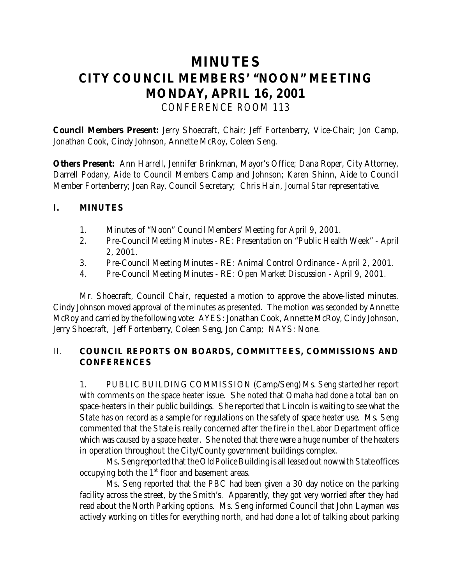# **MINUTES CITY COUNCIL MEMBERS' "NOON" MEETING MONDAY, APRIL 16, 2001** *CONFERENCE ROOM 113*

**Council Members Present:** Jerry Shoecraft, Chair; Jeff Fortenberry, Vice-Chair; Jon Camp, Jonathan Cook, Cindy Johnson, Annette McRoy, Coleen Seng.

**Others Present:** Ann Harrell, Jennifer Brinkman, Mayor's Office; Dana Roper, City Attorney, Darrell Podany, Aide to Council Members Camp and Johnson; Karen Shinn, Aide to Council Member Fortenberry; Joan Ray, Council Secretary; Chris Hain, *Journal Star* representative.

#### **I. MINUTES**

- 1. Minutes of "Noon" Council Members' Meeting for April 9, 2001.
- 2. Pre-Council Meeting Minutes RE: Presentation on "Public Health Week" April 2, 2001.
- 3. Pre-Council Meeting Minutes RE: Animal Control Ordinance April 2, 2001.
- 4. Pre-Council Meeting Minutes RE: Open Market Discussion April 9, 2001.

Mr. Shoecraft, Council Chair, requested a motion to approve the above-listed minutes. Cindy Johnson moved approval of the minutes as presented. The motion was seconded by Annette McRoy and carried by the following vote: AYES: Jonathan Cook, Annette McRoy, Cindy Johnson, Jerry Shoecraft, Jeff Fortenberry, Coleen Seng, Jon Camp; NAYS: None.

## II. **COUNCIL REPORTS ON BOARDS, COMMITTEES, COMMISSIONS AND CONFERENCES**

1. PUBLIC BUILDING COMMISSION (Camp/Seng) Ms. Seng started her report with comments on the space heater issue. She noted that Omaha had done a total ban on space-heaters in their public buildings. She reported that Lincoln is waiting to see what the State has on record as a sample for regulations on the safety of space heater use. Ms. Seng commented that the State is really concerned after the fire in the Labor Department office which was caused by a space heater. She noted that there were a huge number of the heaters in operation throughout the City/County government buildings complex.

Ms. Seng reported that the Old Police Building is all leased out now with State offices occupying both the  $1<sup>st</sup>$  floor and basement areas.

Ms. Seng reported that the PBC had been given a 30 day notice on the parking facility across the street, by the Smith's. Apparently, they got very worried after they had read about the North Parking options. Ms. Seng informed Council that John Layman was actively working on titles for everything north, and had done a lot of talking about parking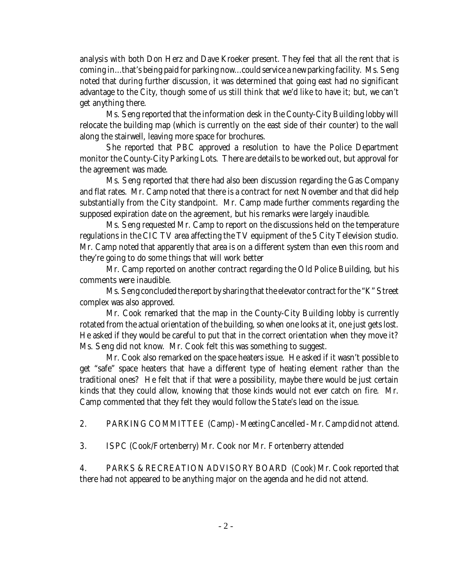analysis with both Don Herz and Dave Kroeker present. They feel that all the rent that is coming in...that's being paid for parking now...could service a new parking facility. Ms. Seng noted that during further discussion, it was determined that going east had no significant advantage to the City, though some of us still think that we'd like to have it; but, we can't get anything there.

Ms. Seng reported that the information desk in the County-City Building lobby will relocate the building map (which is currently on the east side of their counter) to the wall along the stairwell, leaving more space for brochures.

She reported that PBC approved a resolution to have the Police Department monitor the County-City Parking Lots. There are details to be worked out, but approval for the agreement was made.

Ms. Seng reported that there had also been discussion regarding the Gas Company and flat rates. Mr. Camp noted that there is a contract for next November and that did help substantially from the City standpoint. Mr. Camp made further comments regarding the supposed expiration date on the agreement, but his remarks were largely inaudible.

Ms. Seng requested Mr. Camp to report on the discussions held on the temperature regulations in the CIC TV area affecting the TV equipment of the 5 City Television studio. Mr. Camp noted that apparently that area is on a different system than even this room and they're going to do some things that will work better

Mr. Camp reported on another contract regarding the Old Police Building, but his comments were inaudible.

Ms. Seng concluded the report by sharing that the elevator contract for the "K" Street complex was also approved.

Mr. Cook remarked that the map in the County-City Building lobby is currently rotated from the actual orientation of the building, so when one looks at it, one just gets lost. He asked if they would be careful to put that in the correct orientation when they move it? Ms. Seng did not know. Mr. Cook felt this was something to suggest.

Mr. Cook also remarked on the space heaters issue. He asked if it wasn't possible to get "safe" space heaters that have a different type of heating element rather than the traditional ones? He felt that if that were a possibility, maybe there would be just certain kinds that they could allow, knowing that those kinds would not ever catch on fire. Mr. Camp commented that they felt they would follow the State's lead on the issue.

2. PARKING COMMITTEE (Camp) - Meeting Cancelled - Mr. Camp did not attend.

3. ISPC (Cook/Fortenberry) Mr. Cook nor Mr. Fortenberry attended

4. PARKS & RECREATION ADVISORY BOARD (Cook) Mr. Cook reported that there had not appeared to be anything major on the agenda and he did not attend.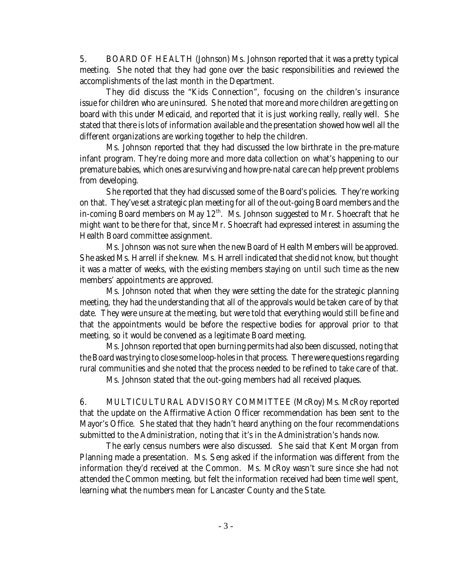5. BOARD OF HEALTH (Johnson) Ms. Johnson reported that it was a pretty typical meeting. She noted that they had gone over the basic responsibilities and reviewed the accomplishments of the last month in the Department.

They did discuss the "Kids Connection", focusing on the children's insurance issue for children who are uninsured. She noted that more and more children are getting on board with this under Medicaid, and reported that it is just working really, really well. She stated that there is lots of information available and the presentation showed how well all the different organizations are working together to help the children.

Ms. Johnson reported that they had discussed the low birthrate in the pre-mature infant program. They're doing more and more data collection on what's happening to our premature babies, which ones are surviving and how pre-natal care can help prevent problems from developing.

She reported that they had discussed some of the Board's policies. They're working on that. They've set a strategic plan meeting for all of the out-going Board members and the in-coming Board members on May  $12<sup>th</sup>$ . Ms. Johnson suggested to Mr. Shoecraft that he might want to be there for that, since Mr. Shoecraft had expressed interest in assuming the Health Board committee assignment.

Ms. Johnson was not sure when the new Board of Health Members will be approved. She asked Ms. Harrell if she knew. Ms. Harrell indicated that she did not know, but thought it was a matter of weeks, with the existing members staying on until such time as the new members' appointments are approved.

Ms. Johnson noted that when they were setting the date for the strategic planning meeting, they had the understanding that all of the approvals would be taken care of by that date. They were unsure at the meeting, but were told that everything would still be fine and that the appointments would be before the respective bodies for approval prior to that meeting, so it would be convened as a legitimate Board meeting.

Ms. Johnson reported that open burning permits had also been discussed, noting that the Board was trying to close some loop-holes in that process. There were questions regarding rural communities and she noted that the process needed to be refined to take care of that.

Ms. Johnson stated that the out-going members had all received plaques.

6. MULTICULTURAL ADVISORY COMMITTEE (McRoy) Ms. McRoy reported that the update on the Affirmative Action Officer recommendation has been sent to the Mayor's Office. She stated that they hadn't heard anything on the four recommendations submitted to the Administration, noting that it's in the Administration's hands now.

The early census numbers were also discussed. She said that Kent Morgan from Planning made a presentation. Ms. Seng asked if the information was different from the information they'd received at the Common. Ms. McRoy wasn't sure since she had not attended the Common meeting, but felt the information received had been time well spent, learning what the numbers mean for Lancaster County and the State.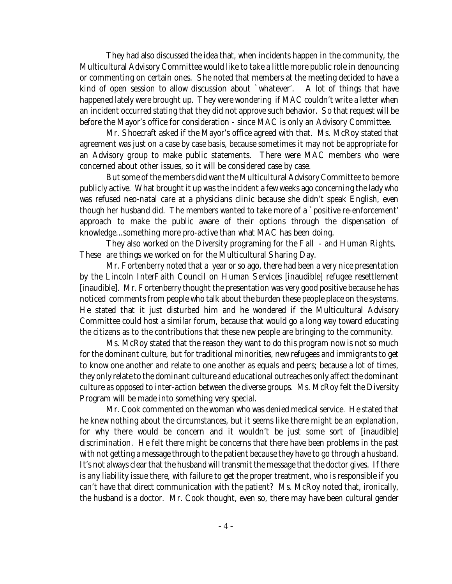They had also discussed the idea that, when incidents happen in the community, the Multicultural Advisory Committee would like to take a little more public role in denouncing or commenting on certain ones. She noted that members at the meeting decided to have a kind of open session to allow discussion about `whatever'. A lot of things that have happened lately were brought up. They were wondering if MAC couldn't write a letter when an incident occurred stating that they did not approve such behavior. So that request will be before the Mayor's office for consideration - since MAC is only an Advisory Committee.

Mr. Shoecraft asked if the Mayor's office agreed with that. Ms. McRoy stated that agreement was just on a case by case basis, because sometimes it may not be appropriate for an Advisory group to make public statements. There were MAC members who were concerned about other issues, so it will be considered case by case.

But some of the members did want the Multicultural Advisory Committee to be more publicly active. What brought it up was the incident a few weeks ago concerning the lady who was refused neo-natal care at a physicians clinic because she didn't speak English, even though her husband did. The members wanted to take more of a `positive re-enforcement' approach to make the public aware of their options through the dispensation of knowledge...something more pro-active than what MAC has been doing.

They also worked on the Diversity programing for the Fall - and Human Rights. These are things we worked on for the Multicultural Sharing Day.

Mr. Fortenberry noted that a year or so ago, there had been a very nice presentation by the Lincoln InterFaith Council on Human Services [inaudible] refugee resettlement [inaudible]. Mr. Fortenberry thought the presentation was very good positive because he has noticed comments from people who talk about the burden these people place on the systems. He stated that it just disturbed him and he wondered if the Multicultural Advisory Committee could host a similar forum, because that would go a long way toward educating the citizens as to the contributions that these new people are bringing to the community.

Ms. McRoy stated that the reason they want to do this program now is not so much for the dominant culture, but for traditional minorities, new refugees and immigrants to get to know one another and relate to one another as equals and peers; because a lot of times, they only relate to the dominant culture and educational outreaches only affect the dominant culture as opposed to inter-action between the diverse groups. Ms. McRoy felt the Diversity Program will be made into something very special.

Mr. Cook commented on the woman who was denied medical service. He stated that he knew nothing about the circumstances, but it seems like there might be an explanation, for why there would be concern and it wouldn't be just some sort of [inaudible] discrimination. He felt there might be concerns that there have been problems in the past with not getting a message through to the patient because they have to go through a husband. It's not always clear that the husband will transmit the message that the doctor gives. If there is any liability issue there, with failure to get the proper treatment, who is responsible if you can't have that direct communication with the patient? Ms. McRoy noted that, ironically, the husband is a doctor. Mr. Cook thought, even so, there may have been cultural gender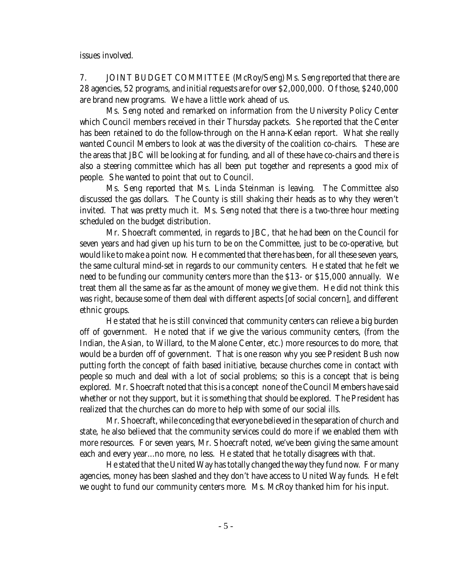issues involved.

7. JOINT BUDGET COMMITTEE (McRoy/Seng) Ms. Seng reported that there are 28 agencies, 52 programs, and initial requests are for over \$2,000,000. Of those, \$240,000 are brand new programs. We have a little work ahead of us.

Ms. Seng noted and remarked on information from the University Policy Center which Council members received in their Thursday packets. She reported that the Center has been retained to do the follow-through on the Hanna-Keelan report. What she really wanted Council Members to look at was the diversity of the coalition co-chairs. These are the areas that JBC will be looking at for funding, and all of these have co-chairs and there is also a steering committee which has all been put together and represents a good mix of people. She wanted to point that out to Council.

Ms. Seng reported that Ms. Linda Steinman is leaving. The Committee also discussed the gas dollars. The County is still shaking their heads as to why they weren't invited. That was pretty much it. Ms. Seng noted that there is a two-three hour meeting scheduled on the budget distribution.

Mr. Shoecraft commented, in regards to JBC, that he had been on the Council for seven years and had given up his turn to be on the Committee, just to be co-operative, but would like to make a point now. He commented that there has been, for all these seven years, the same cultural mind-set in regards to our community centers. He stated that he felt we need to be funding our community centers more than the \$13- or \$15,000 annually. We treat them all the same as far as the amount of money we give them. He did not think this was right, because some of them deal with different aspects [of social concern], and different ethnic groups.

He stated that he is still convinced that community centers can relieve a big burden off of government. He noted that if we give the various community centers, (from the Indian, the Asian, to Willard, to the Malone Center, etc.) more resources to do more, that would be a burden off of government. That is one reason why you see President Bush now putting forth the concept of faith based initiative, because churches come in contact with people so much and deal with a lot of social problems; so this is a concept that is being explored. Mr. Shoecraft noted that this is a concept none of the Council Members have said whether or not they support, but it is something that should be explored. The President has realized that the churches can do more to help with some of our social ills.

Mr. Shoecraft, while conceding that everyone believed in the separation of church and state, he also believed that the community services could do more if we enabled them with more resources. For seven years, Mr. Shoecraft noted, we've been giving the same amount each and every year...no more, no less. He stated that he totally disagrees with that.

He stated that the United Way has totally changed the way they fund now. For many agencies, money has been slashed and they don't have access to United Way funds. He felt we ought to fund our community centers more. Ms. McRoy thanked him for his input.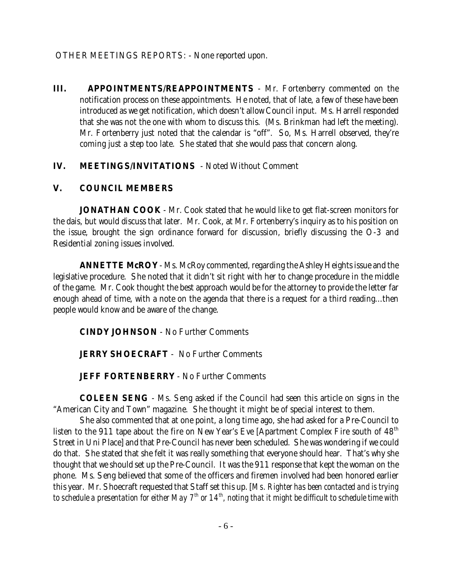OTHER MEETINGS REPORTS: - None reported upon.

**III. APPOINTMENTS/REAPPOINTMENTS** - Mr. Fortenberry commented on the notification process on these appointments. He noted, that of late, a few of these have been introduced as we get notification, which doesn't allow Council input. Ms. Harrell responded that she was not the one with whom to discuss this. (Ms. Brinkman had left the meeting). Mr. Fortenberry just noted that the calendar is "off". So, Ms. Harrell observed, they're coming just a step too late. She stated that she would pass that concern along.

## **IV. MEETINGS/INVITATIONS** - Noted Without Comment

## **V. COUNCIL MEMBERS**

**JONATHAN COOK** - Mr. Cook stated that he would like to get flat-screen monitors for the dais, but would discuss that later. Mr. Cook, at Mr. Fortenberry's inquiry as to his position on the issue, brought the sign ordinance forward for discussion, briefly discussing the O-3 and Residential zoning issues involved.

**ANNETTE McROY** - Ms. McRoy commented, regarding the Ashley Heights issue and the legislative procedure. She noted that it didn't sit right with her to change procedure in the middle of the game. Mr. Cook thought the best approach would be for the attorney to provide the letter far enough ahead of time, with a note on the agenda that there is a request for a third reading...then people would know and be aware of the change.

**CINDY JOHNSON** - No Further Comments

**JERRY SHOECRAFT** - No Further Comments

**JEFF FORTENBERRY** - No Further Comments

**COLEEN SENG** - Ms. Seng asked if the Council had seen this article on signs in the "American City and Town" magazine. She thought it might be of special interest to them.

She also commented that at one point, a long time ago, she had asked for a Pre-Council to listen to the 911 tape about the fire on New Year's Eve [Apartment Complex Fire south of  $48<sup>th</sup>$ Street in Uni Place] and that Pre-Council has never been scheduled. She was wondering if we could do that. She stated that she felt it was really something that everyone should hear. That's why she thought that we should set up the Pre-Council. It was the 911 response that kept the woman on the phone. Ms. Seng believed that some of the officers and firemen involved had been honored earlier this year. Mr. Shoecraft requested that Staff set this up. [*Ms. Righter has been contacted and is trying to schedule a presentation for either May 7th or 14th, noting that it might be difficult to schedule time with*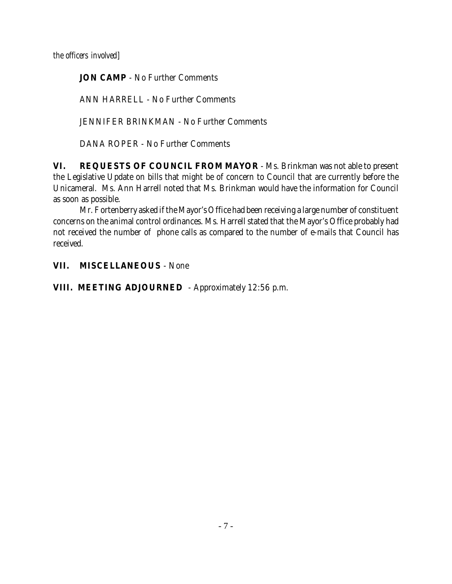*the officers involved]*

**JON CAMP** - No Further Comments

ANN HARRELL - No Further Comments

JENNIFER BRINKMAN - No Further Comments

DANA ROPER - No Further Comments

**VI. REQUESTS OF COUNCIL FROM MAYOR** - Ms. Brinkman was not able to present the Legislative Update on bills that might be of concern to Council that are currently before the Unicameral. Ms. Ann Harrell noted that Ms. Brinkman would have the information for Council as soon as possible.

Mr. Fortenberry asked if the Mayor's Office had been receiving a large number of constituent concerns on the animal control ordinances. Ms. Harrell stated that the Mayor's Office probably had not received the number of phone calls as compared to the number of e-mails that Council has received.

**VII. MISCELLANEOUS** - None

**VIII. MEETING ADJOURNED** - Approximately 12:56 p.m.